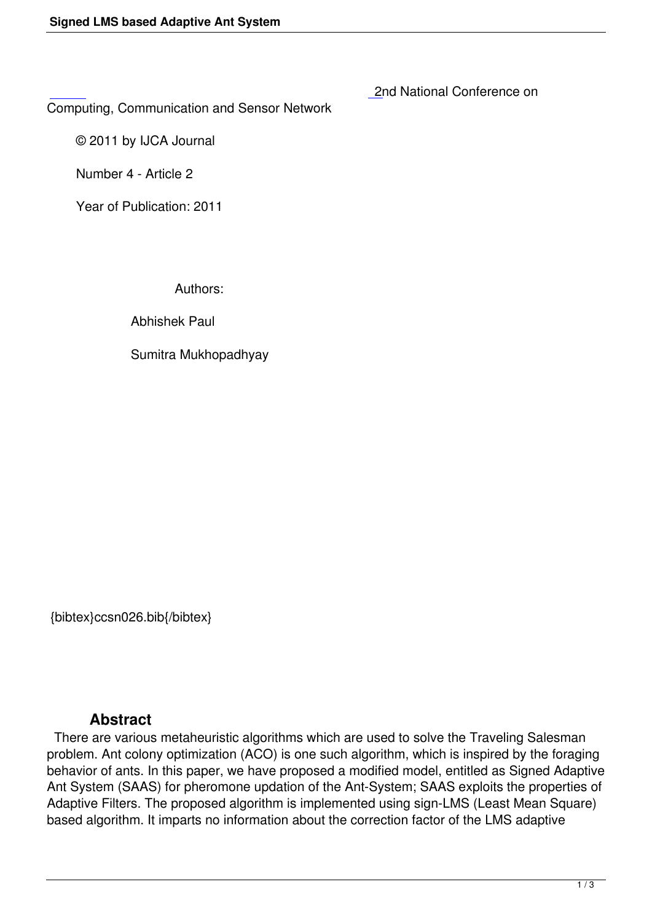2nd National Conference on

Computing, Communication and Sensor Network

 [©](http://research.ijcaonline.org/ccsn/number4/ccsn026.pdf) 2011 by IJCA Journal

Number 4 - Article 2

Year of Publication: 2011

Authors:

Abhishek Paul

Sumitra Mukhopadhyay

{bibtex}ccsn026.bib{/bibtex}

## **Abstract**

 There are various metaheuristic algorithms which are used to solve the Traveling Salesman problem. Ant colony optimization (ACO) is one such algorithm, which is inspired by the foraging behavior of ants. In this paper, we have proposed a modified model, entitled as Signed Adaptive Ant System (SAAS) for pheromone updation of the Ant-System; SAAS exploits the properties of Adaptive Filters. The proposed algorithm is implemented using sign-LMS (Least Mean Square) based algorithm. It imparts no information about the correction factor of the LMS adaptive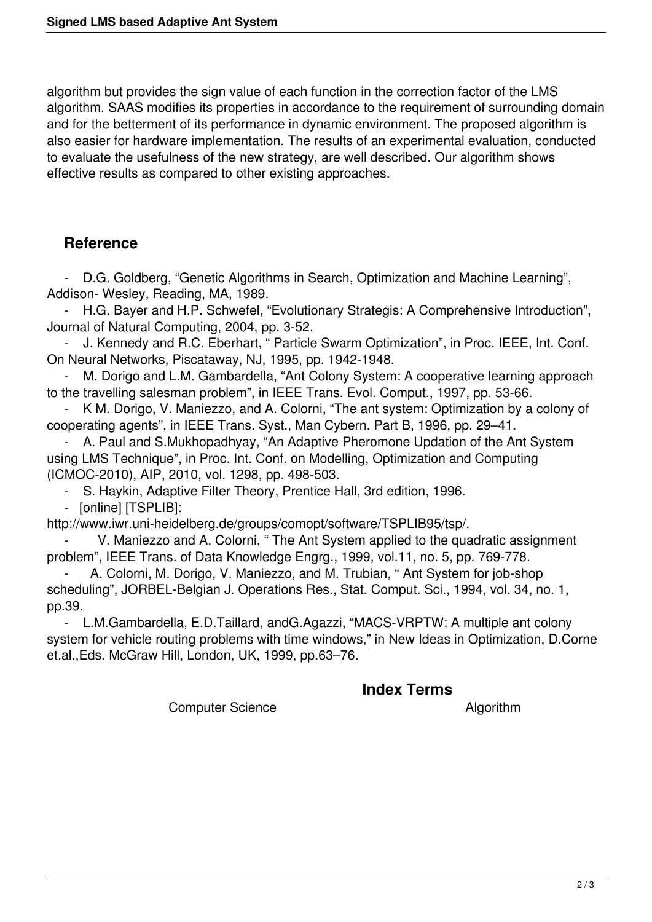algorithm but provides the sign value of each function in the correction factor of the LMS algorithm. SAAS modifies its properties in accordance to the requirement of surrounding domain and for the betterment of its performance in dynamic environment. The proposed algorithm is also easier for hardware implementation. The results of an experimental evaluation, conducted to evaluate the usefulness of the new strategy, are well described. Our algorithm shows effective results as compared to other existing approaches.

# **Reference**

 - D.G. Goldberg, "Genetic Algorithms in Search, Optimization and Machine Learning", Addison- Wesley, Reading, MA, 1989.

 - H.G. Bayer and H.P. Schwefel, "Evolutionary Strategis: A Comprehensive Introduction", Journal of Natural Computing, 2004, pp. 3-52.

J. Kennedy and R.C. Eberhart, " Particle Swarm Optimization", in Proc. IEEE, Int. Conf. On Neural Networks, Piscataway, NJ, 1995, pp. 1942-1948.

M. Dorigo and L.M. Gambardella, "Ant Colony System: A cooperative learning approach to the travelling salesman problem", in IEEE Trans. Evol. Comput., 1997, pp. 53-66.

K M. Dorigo, V. Maniezzo, and A. Colorni, "The ant system: Optimization by a colony of cooperating agents", in IEEE Trans. Syst., Man Cybern. Part B, 1996, pp. 29–41.

A. Paul and S.Mukhopadhyay, "An Adaptive Pheromone Updation of the Ant System using LMS Technique", in Proc. Int. Conf. on Modelling, Optimization and Computing (ICMOC-2010), AIP, 2010, vol. 1298, pp. 498-503.

- S. Haykin, Adaptive Filter Theory, Prentice Hall, 3rd edition, 1996.

- [online] [TSPLIB]:

http://www.iwr.uni-heidelberg.de/groups/comopt/software/TSPLIB95/tsp/.

V. Maniezzo and A. Colorni, " The Ant System applied to the quadratic assignment problem", IEEE Trans. of Data Knowledge Engrg., 1999, vol.11, no. 5, pp. 769-778.

A. Colorni, M. Dorigo, V. Maniezzo, and M. Trubian, "Ant System for job-shop scheduling", JORBEL-Belgian J. Operations Res., Stat. Comput. Sci., 1994, vol. 34, no. 1, pp.39.

 - L.M.Gambardella, E.D.Taillard, andG.Agazzi, "MACS-VRPTW: A multiple ant colony system for vehicle routing problems with time windows," in New Ideas in Optimization, D.Corne et.al.,Eds. McGraw Hill, London, UK, 1999, pp.63–76.

### **Index Terms**

Computer Science **Algorithm**